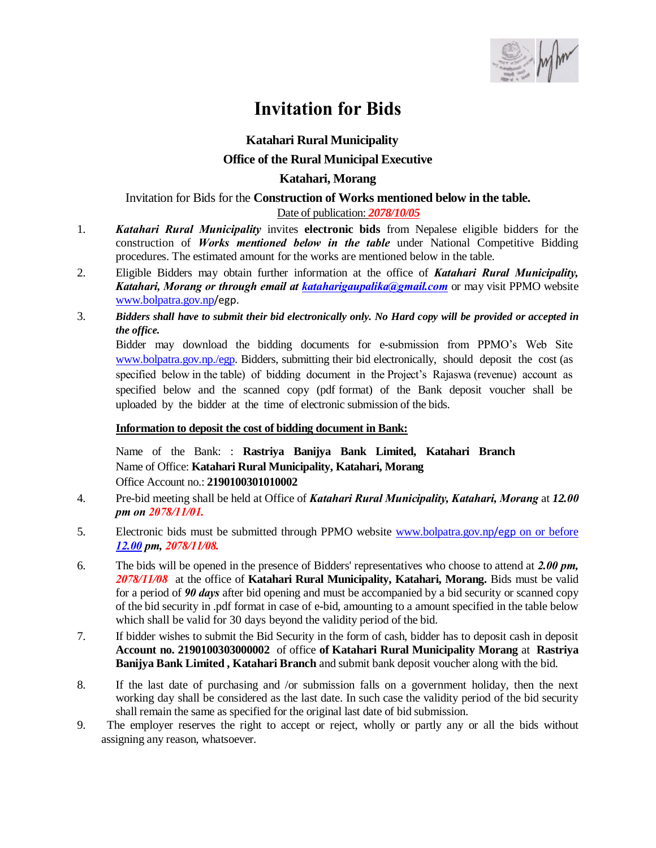

## **Invitation for Bids**

## **Katahari Rural Municipality Office of the Rural Municipal Executive Katahari, Morang**

Invitation for Bids for the **Construction of Works mentioned below in the table.** Date of publication: *2078/10/05*

- 1. *Katahari Rural Municipality* invites **electronic bids** from Nepalese eligible bidders for the construction of *Works mentioned below in the table* under National Competitive Bidding procedures. The estimated amount for the works are mentioned below in the table.
- 2. Eligible Bidders may obtain further information at the office of *Katahari Rural Municipality, Katahari, Morang or through email at [kataharigaupalika@gmail.com](mailto:kataharigaupalika@gmail.com)* or may visit PPMO website [www.bolpatra.gov.np](http://www.bolpatra.gov.np/)/egp.
- 3. *Bidders shall have to submit their bid electronically only. No Hard copy will be provided or accepted in the office.*

Bidder may download the bidding documents for e-submission from PPMO's Web Site [www.bolpatra.gov.np./egp.](http://www.bolpatra.gov.np./egp) Bidders, submitting their bid electronically, should deposit the cost (as specified below in the table) of bidding document in the Project's Rajaswa (revenue) account as specified below and the scanned copy (pdf format) of the Bank deposit voucher shall be uploaded by the bidder at the time of electronic submission of the bids.

## **Information to deposit the cost of bidding document in Bank:**

Name of the Bank: : **Rastriya Banijya Bank Limited, Katahari Branch** Name of Office: **Katahari Rural Municipality, Katahari, Morang** Office Account no.: **2190100301010002**

- 4. Pre-bid meeting shall be held at Office of *Katahari Rural Municipality, Katahari, Morang* at *12.00 pm on 2078/11/01.*
- 5. Electronic bids must be submitted through PPMO website [www.bolpatra.gov.np](http://www.bolpatra.gov.np/egp%20on%20or%20before%2012.00)/egp on or before *[12.00](http://www.bolpatra.gov.np/egp%20on%20or%20before%2012.00) pm, 2078/11/08.*
- 6. The bids will be opened in the presence of Bidders' representatives who choose to attend at *2.00 pm, 2078/11/08* at the office of **Katahari Rural Municipality, Katahari, Morang.** Bids must be valid for a period of *90 days* after bid opening and must be accompanied by a bid security or scanned copy of the bid security in .pdf format in case of e-bid, amounting to a amount specified in the table below which shall be valid for 30 days beyond the validity period of the bid.
- 7. If bidder wishes to submit the Bid Security in the form of cash, bidder has to deposit cash in deposit **Account no. 2190100303000002** of office **of Katahari Rural Municipality Morang** at **Rastriya Banijya Bank Limited , Katahari Branch** and submit bank deposit voucher along with the bid.
- 8. If the last date of purchasing and /or submission falls on a government holiday, then the next working day shall be considered as the last date. In such case the validity period of the bid security shall remain the same as specified for the original last date of bid submission.
- 9. The employer reserves the right to accept or reject, wholly or partly any or all the bids without assigning any reason, whatsoever.